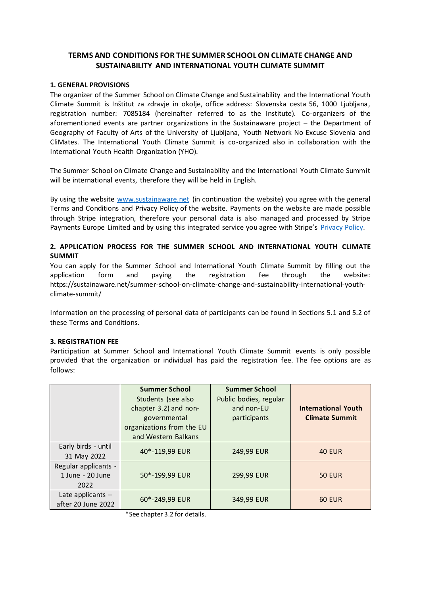# **TERMS AND CONDITIONS FOR THE SUMMER SCHOOL ON CLIMATE CHANGE AND SUSTAINABILITY AND INTERNATIONAL YOUTH CLIMATE SUMMIT**

## **1. GENERAL PROVISIONS**

The organizer of the Summer School on Climate Change and Sustainability and the International Youth Climate Summit is Inštitut za zdravje in okolje, office address: Slovenska cesta 56, 1000 Ljubljana, registration number: 7085184 (hereinafter referred to as the Institute). Co-organizers of the aforementioned events are partner organizations in the Sustainaware project – the Department of Geography of Faculty of Arts of the University of Ljubljana, Youth Network No Excuse Slovenia and CliMates. The International Youth Climate Summit is co-organized also in collaboration with the International Youth Health Organization (YHO).

The Summer School on Climate Change and Sustainability and the International Youth Climate Summit will be international events, therefore they will be held in English.

By using the website [www.sustainaware.net](http://www.sustainaware.net/) (in continuation the website) you agree with the general Terms and Conditions and Privacy Policy of the website. Payments on the website are made possible through Stripe integration, therefore your personal data is also managed and processed by Stripe Payments Europe Limited and by using this integrated service you agree with Stripe's [Privacy Policy.](https://stripe.com/en-si/privacy)

# **2. APPLICATION PROCESS FOR THE SUMMER SCHOOL AND INTERNATIONAL YOUTH CLIMATE SUMMIT**

You can apply for the Summer School and International Youth Climate Summit by filling out the application form and paying the registration fee through the website: https://sustainaware.net/summer-school-on-climate-change-and-sustainability-international-youthclimate-summit/

Information on the processing of personal data of participants can be found in Sections 5.1 and 5.2 of these Terms and Conditions.

#### **3. REGISTRATION FEE**

Participation at Summer School and International Youth Climate Summit events is only possible provided that the organization or individual has paid the registration fee. The fee options are as follows:

|                                                  | <b>Summer School</b><br>Students (see also<br>chapter 3.2) and non-<br>governmental<br>organizations from the EU<br>and Western Balkans | <b>Summer School</b><br>Public bodies, regular<br>and non-EU<br>participants | <b>International Youth</b><br><b>Climate Summit</b> |
|--------------------------------------------------|-----------------------------------------------------------------------------------------------------------------------------------------|------------------------------------------------------------------------------|-----------------------------------------------------|
| Early birds - until<br>31 May 2022               | 40*-119,99 EUR                                                                                                                          | 249,99 EUR                                                                   | <b>40 EUR</b>                                       |
| Regular applicants -<br>1 June - 20 June<br>2022 | 50*-199,99 EUR                                                                                                                          | 299,99 EUR                                                                   | <b>50 EUR</b>                                       |
| Late applicants -<br>after 20 June 2022          | 60*-249,99 EUR                                                                                                                          | 349,99 EUR                                                                   | <b>60 EUR</b>                                       |

\*See chapter 3.2 for details.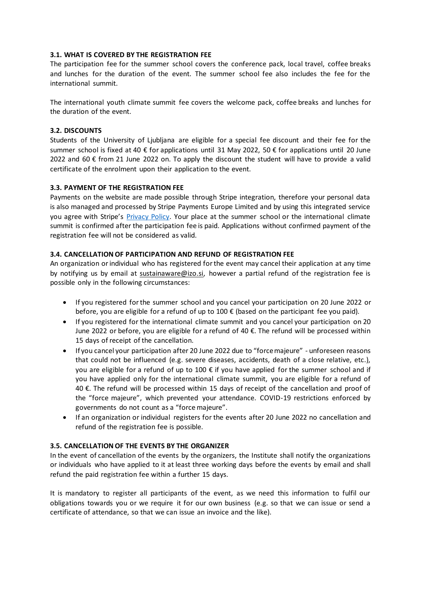## **3.1. WHAT IS COVERED BY THE REGISTRATION FEE**

The participation fee for the summer school covers the conference pack, local travel, coffee breaks and lunches for the duration of the event. The summer school fee also includes the fee for the international summit.

The international youth climate summit fee covers the welcome pack, coffee breaks and lunches for the duration of the event.

#### **3.2. DISCOUNTS**

Students of the University of Ljubljana are eligible for a special fee discount and their fee for the summer school is fixed at 40 € for applications until 31 May 2022, 50 € for applications until 20 June 2022 and 60  $\epsilon$  from 21 June 2022 on. To apply the discount the student will have to provide a valid certificate of the enrolment upon their application to the event.

#### **3.3. PAYMENT OF THE REGISTRATION FEE**

Payments on the website are made possible through Stripe integration, therefore your personal data is also managed and processed by Stripe Payments Europe Limited and by using this integrated service you agree with Stripe's [Privacy Policy.](https://stripe.com/en-si/privacy) Your place at the summer school or the international climate summit is confirmed after the participation fee is paid. Applications without confirmed payment of the registration fee will not be considered as valid.

#### **3.4. CANCELLATION OF PARTICIPATION AND REFUND OF REGISTRATION FEE**

An organization or individual who has registered for the event may cancel their application at any time by notifying us by email at [sustainaware@izo.si,](mailto:sustainaware@izo.si) however a partial refund of the registration fee is possible only in the following circumstances:

- If you registered for the summer school and you cancel your participation on 20 June 2022 or before, you are eligible for a refund of up to 100 € (based on the participant fee you paid).
- If you registered for the international climate summit and you cancel your participation on 20 June 2022 or before, you are eligible for a refund of 40 €. The refund will be processed within 15 days of receipt of the cancellation.
- If you cancel your participation after 20 June 2022 due to "force majeure" unforeseen reasons that could not be influenced (e.g. severe diseases, accidents, death of a close relative, etc.), you are eligible for a refund of up to 100  $\epsilon$  if you have applied for the summer school and if you have applied only for the international climate summit, you are eligible for a refund of 40 €. The refund will be processed within 15 days of receipt of the cancellation and proof of the "force majeure", which prevented your attendance. COVID-19 restrictions enforced by governments do not count as a "force majeure".
- If an organization or individual registers for the events after 20 June 2022 no cancellation and refund of the registration fee is possible.

#### **3.5. CANCELLATION OF THE EVENTS BY THE ORGANIZER**

In the event of cancellation of the events by the organizers, the Institute shall notify the organizations or individuals who have applied to it at least three working days before the events by email and shall refund the paid registration fee within a further 15 days.

It is mandatory to register all participants of the event, as we need this information to fulfil our obligations towards you or we require it for our own business (e.g. so that we can issue or send a certificate of attendance, so that we can issue an invoice and the like).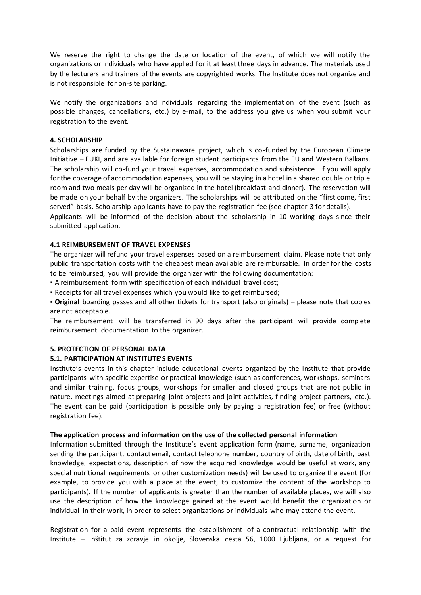We reserve the right to change the date or location of the event, of which we will notify the organizations or individuals who have applied for it at least three days in advance. The materials used by the lecturers and trainers of the events are copyrighted works. The Institute does not organize and is not responsible for on-site parking.

We notify the organizations and individuals regarding the implementation of the event (such as possible changes, cancellations, etc.) by e-mail, to the address you give us when you submit your registration to the event.

## **4. SCHOLARSHIP**

Scholarships are funded by the Sustainaware project, which is co-funded by the European Climate Initiative – EUKI, and are available for foreign student participants from the EU and Western Balkans. The scholarship will co-fund your travel expenses, accommodation and subsistence. If you will apply for the coverage of accommodation expenses, you will be staying in a hotel in a shared double or triple room and two meals per day will be organized in the hotel (breakfast and dinner). The reservation will be made on your behalf by the organizers. The scholarships will be attributed on the "first come, first served" basis. Scholarship applicants have to pay the registration fee (see chapter 3 for details).

Applicants will be informed of the decision about the scholarship in 10 working days since their submitted application.

# **4.1 REIMBURSEMENT OF TRAVEL EXPENSES**

The organizer will refund your travel expenses based on a reimbursement claim. Please note that only public transportation costs with the cheapest mean available are reimbursable. In order for the costs to be reimbursed, you will provide the organizer with the following documentation:

▪ A reimbursement form with specification of each individual travel cost;

▪ Receipts for all travel expenses which you would like to get reimbursed;

▪ **Original** boarding passes and all other tickets for transport (also originals) – please note that copies are not acceptable.

The reimbursement will be transferred in 90 days after the participant will provide complete reimbursement documentation to the organizer.

## **5. PROTECTION OF PERSONAL DATA**

# **5.1. PARTICIPATION AT INSTITUTE'S EVENTS**

Institute's events in this chapter include educational events organized by the Institute that provide participants with specific expertise or practical knowledge (such as conferences, workshops, seminars and similar training, focus groups, workshops for smaller and closed groups that are not public in nature, meetings aimed at preparing joint projects and joint activities, finding project partners, etc.). The event can be paid (participation is possible only by paying a registration fee) or free (without registration fee).

## **The application process and information on the use of the collected personal information**

Information submitted through the Institute's event application form (name, surname, organization sending the participant, contact email, contact telephone number, country of birth, date of birth, past knowledge, expectations, description of how the acquired knowledge would be useful at work, any special nutritional requirements or other customization needs) will be used to organize the event (for example, to provide you with a place at the event, to customize the content of the workshop to participants). If the number of applicants is greater than the number of available places, we will also use the description of how the knowledge gained at the event would benefit the organization or individual in their work, in order to select organizations or individuals who may attend the event.

Registration for a paid event represents the establishment of a contractual relationship with the Institute – Inštitut za zdravje in okolje, Slovenska cesta 56, 1000 Ljubljana, or a request for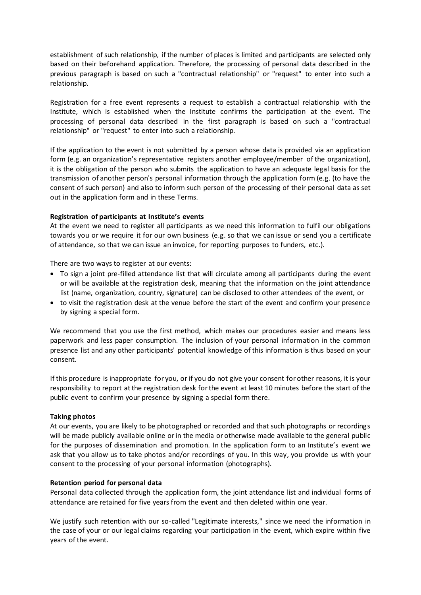establishment of such relationship, if the number of places is limited and participants are selected only based on their beforehand application. Therefore, the processing of personal data described in the previous paragraph is based on such a "contractual relationship" or "request" to enter into such a relationship.

Registration for a free event represents a request to establish a contractual relationship with the Institute, which is established when the Institute confirms the participation at the event. The processing of personal data described in the first paragraph is based on such a "contractual relationship" or "request" to enter into such a relationship.

If the application to the event is not submitted by a person whose data is provided via an application form (e.g. an organization's representative registers another employee/member of the organization), it is the obligation of the person who submits the application to have an adequate legal basis for the transmission of another person's personal information through the application form (e.g. (to have the consent of such person) and also to inform such person of the processing of their personal data as set out in the application form and in these Terms.

# **Registration of participants at Institute's events**

At the event we need to register all participants as we need this information to fulfil our obligations towards you or we require it for our own business (e.g. so that we can issue or send you a certificate of attendance, so that we can issue an invoice, for reporting purposes to funders, etc.).

There are two ways to register at our events:

- To sign a joint pre-filled attendance list that will circulate among all participants during the event or will be available at the registration desk, meaning that the information on the joint attendance list (name, organization, country, signature) can be disclosed to other attendees of the event, or
- to visit the registration desk at the venue before the start of the event and confirm your presence by signing a special form.

We recommend that you use the first method, which makes our procedures easier and means less paperwork and less paper consumption. The inclusion of your personal information in the common presence list and any other participants' potential knowledge of this information is thus based on your consent.

If this procedure is inappropriate for you, or if you do not give your consent for other reasons, it is your responsibility to report at the registration desk for the event at least 10 minutes before the start of the public event to confirm your presence by signing a special form there.

## **Taking photos**

At our events, you are likely to be photographed or recorded and that such photographs or recordings will be made publicly available online or in the media or otherwise made available to the general public for the purposes of dissemination and promotion. In the application form to an Institute's event we ask that you allow us to take photos and/or recordings of you. In this way, you provide us with your consent to the processing of your personal information (photographs).

## **Retention period for personal data**

Personal data collected through the application form, the joint attendance list and individual forms of attendance are retained for five years from the event and then deleted within one year.

We justify such retention with our so-called "Legitimate interests," since we need the information in the case of your or our legal claims regarding your participation in the event, which expire within five years of the event.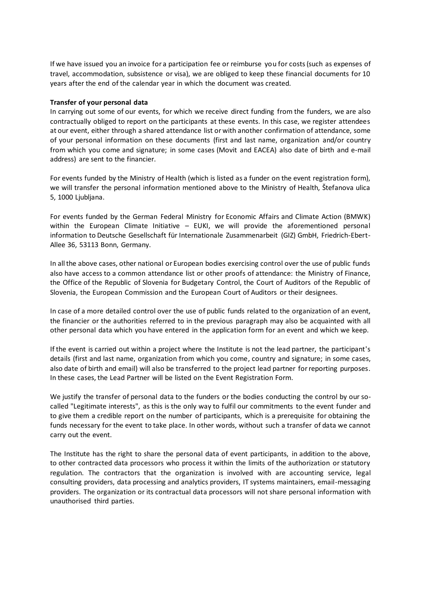If we have issued you an invoice for a participation fee or reimburse you for costs (such as expenses of travel, accommodation, subsistence or visa), we are obliged to keep these financial documents for 10 years after the end of the calendar year in which the document was created.

#### **Transfer of your personal data**

In carrying out some of our events, for which we receive direct funding from the funders, we are also contractually obliged to report on the participants at these events. In this case, we register attendees at our event, either through a shared attendance list or with another confirmation of attendance, some of your personal information on these documents (first and last name, organization and/or country from which you come and signature; in some cases (Movit and EACEA) also date of birth and e-mail address) are sent to the financier.

For events funded by the Ministry of Health (which is listed as a funder on the event registration form), we will transfer the personal information mentioned above to the Ministry of Health, Štefanova ulica 5, 1000 Ljubljana.

For events funded by the German Federal Ministry for Economic Affairs and Climate Action (BMWK) within the European Climate Initiative – EUKI, we will provide the aforementioned personal information to Deutsche Gesellschaft für Internationale Zusammenarbeit (GIZ) GmbH, Friedrich-Ebert-Allee 36, 53113 Bonn, Germany.

In all the above cases, other national or European bodies exercising control over the use of public funds also have access to a common attendance list or other proofs of attendance: the Ministry of Finance, the Office of the Republic of Slovenia for Budgetary Control, the Court of Auditors of the Republic of Slovenia, the European Commission and the European Court of Auditors or their designees.

In case of a more detailed control over the use of public funds related to the organization of an event, the financier or the authorities referred to in the previous paragraph may also be acquainted with all other personal data which you have entered in the application form for an event and which we keep.

If the event is carried out within a project where the Institute is not the lead partner, the participant's details (first and last name, organization from which you come, country and signature; in some cases, also date of birth and email) will also be transferred to the project lead partner for reporting purposes. In these cases, the Lead Partner will be listed on the Event Registration Form.

We justify the transfer of personal data to the funders or the bodies conducting the control by our socalled "Legitimate interests", as this is the only way to fulfil our commitments to the event funder and to give them a credible report on the number of participants, which is a prerequisite for obtaining the funds necessary for the event to take place. In other words, without such a transfer of data we cannot carry out the event.

The Institute has the right to share the personal data of event participants, in addition to the above, to other contracted data processors who process it within the limits of the authorization or statutory regulation. The contractors that the organization is involved with are accounting service, legal consulting providers, data processing and analytics providers, IT systems maintainers, email-messaging providers. The organization or its contractual data processors will not share personal information with unauthorised third parties.